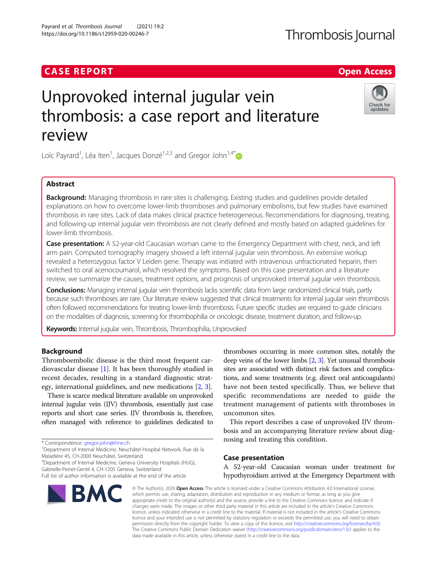# **CASE REPORT CASE ACCESS**

# Unprovoked internal jugular vein thrombosis: a case report and literature review

Loïc Payrard<sup>1</sup>, Léa Iten<sup>1</sup>, Jacques Donzé<sup>1,2,3</sup> and Gregor John<sup>1,4[\\*](http://orcid.org/0000-0002-1548-7339)</sup>

# Abstract

Background: Managing thrombosis in rare sites is challenging. Existing studies and guidelines provide detailed explanations on how to overcome lower-limb thromboses and pulmonary embolisms, but few studies have examined thrombosis in rare sites. Lack of data makes clinical practice heterogeneous. Recommendations for diagnosing, treating, and following-up internal jugular vein thrombosis are not clearly defined and mostly based on adapted guidelines for lower-limb thrombosis.

Case presentation: A 52-year-old Caucasian woman came to the Emergency Department with chest, neck, and left arm pain. Computed tomography imagery showed a left internal jugular vein thrombosis. An extensive workup revealed a heterozygous factor V Leiden gene. Therapy was initiated with intravenous unfractionated heparin, then switched to oral acenocoumarol, which resolved the symptoms. Based on this case presentation and a literature review, we summarize the causes, treatment options, and prognosis of unprovoked internal jugular vein thrombosis.

Conclusions: Managing internal jugular vein thrombosis lacks scientific data from large randomized clinical trials, partly because such thromboses are rare. Our literature review suggested that clinical treatments for internal jugular vein thrombosis often followed recommendations for treating lower-limb thrombosis. Future specific studies are required to guide clinicians on the modalities of diagnosis, screening for thrombophilia or oncologic disease, treatment duration, and follow-up.

Keywords: Internal jugular vein, Thrombosis, Thrombophilia, Unprovoked

# Background

Thromboembolic disease is the third most frequent cardiovascular disease [\[1](#page-7-0)]. It has been thoroughly studied in recent decades, resulting in a standard diagnostic strategy, international guidelines, and new medications [\[2](#page-7-0), [3](#page-7-0)].

There is scarce medical literature available on unprovoked internal jugular vein (IJV) thrombosis, essentially just case reports and short case series. IJV thrombosis is, therefore, often managed with reference to guidelines dedicated to

\* Correspondence: [gregor.john@rhne.ch](mailto:gregor.john@rhne.ch) <sup>1</sup>

<sup>1</sup>Department of Internal Medicine, Neuchâtel Hospital Network, Rue de la Maladière 45, CH-2000 Neuchâtel, Switzerland

4 Department of Internal Medicine, Geneva University Hospitals (HUG), Gabrielle-Perret-Gentil 4, CH-1205 Geneva, Switzerland

Payrard et al. Thrombosis Journal (2021) 19:2 https://doi.org/10.1186/s12959-020-00246-7

BMC

thromboses occurring in more common sites, notably the deep veins of the lower limbs [\[2,](#page-7-0) [3](#page-7-0)]. Yet unusual thrombosis sites are associated with distinct risk factors and complications, and some treatments (e.g. direct oral anticoagulants) have not been tested specifically. Thus, we believe that specific recommendations are needed to guide the treatment management of patients with thromboses in uncommon sites.

This report describes a case of unprovoked IJV thrombosis and an accompanying literature review about diagnosing and treating this condition.

#### Case presentation

A 52-year-old Caucasian woman under treatment for hypothyroidism arrived at the Emergency Department with

© The Author(s), 2020 **Open Access** This article is licensed under a Creative Commons Attribution 4.0 International License, which permits use, sharing, adaptation, distribution and reproduction in any medium or format, as long as you give appropriate credit to the original author(s) and the source, provide a link to the Creative Commons licence, and indicate if changes were made. The images or other third party material in this article are included in the article's Creative Commons licence, unless indicated otherwise in a credit line to the material. If material is not included in the article's Creative Commons licence and your intended use is not permitted by statutory regulation or exceeds the permitted use, you will need to obtain permission directly from the copyright holder. To view a copy of this licence, visit [http://creativecommons.org/licenses/by/4.0/.](http://creativecommons.org/licenses/by/4.0/) The Creative Commons Public Domain Dedication waiver [\(http://creativecommons.org/publicdomain/zero/1.0/](http://creativecommons.org/publicdomain/zero/1.0/)) applies to the data made available in this article, unless otherwise stated in a credit line to the data.



Full list of author information is available at the end of the article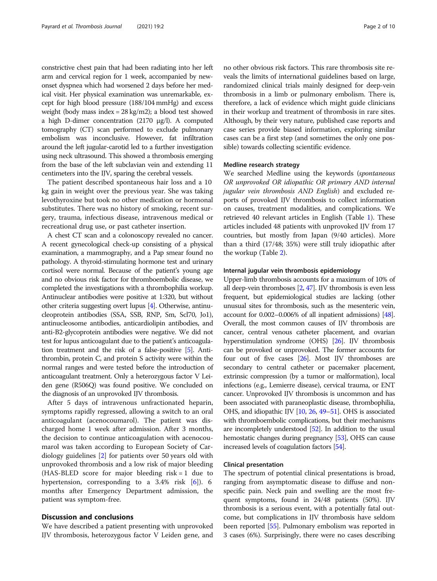constrictive chest pain that had been radiating into her left arm and cervical region for 1 week, accompanied by newonset dyspnea which had worsened 2 days before her medical visit. Her physical examination was unremarkable, except for high blood pressure (188/104 mmHg) and excess weight (body mass index = 28 kg/m2); a blood test showed a high D-dimer concentration (2170 μg/l). A computed tomography (CT) scan performed to exclude pulmonary embolism was inconclusive. However, fat infiltration around the left jugular-carotid led to a further investigation using neck ultrasound. This showed a thrombosis emerging from the base of the left subclavian vein and extending 11 centimeters into the IJV, sparing the cerebral vessels.

The patient described spontaneous hair loss and a 10 kg gain in weight over the previous year. She was taking levothyroxine but took no other medication or hormonal substitutes. There was no history of smoking, recent surgery, trauma, infectious disease, intravenous medical or recreational drug use, or past catheter insertion.

A chest CT scan and a colonoscopy revealed no cancer. A recent gynecological check-up consisting of a physical examination, a mammography, and a Pap smear found no pathology. A thyroid-stimulating hormone test and urinary cortisol were normal. Because of the patient's young age and no obvious risk factor for thromboembolic disease, we completed the investigations with a thrombophilia workup. Antinuclear antibodies were positive at 1:320, but without other criteria suggesting overt lupus [\[4\]](#page-7-0). Otherwise, antinucleoprotein antibodies (SSA, SSB, RNP, Sm, Scl70, Jo1), antinucleosome antibodies, anticardiolipin antibodies, and anti-B2-glycoprotein antibodies were negative. We did not test for lupus anticoagulant due to the patient's anticoagulation treatment and the risk of a false-positive [\[5\]](#page-7-0). Antithrombin, protein C, and protein S activity were within the normal ranges and were tested before the introduction of anticoagulant treatment. Only a heterozygous factor V Leiden gene (R506Q) was found positive. We concluded on the diagnosis of an unprovoked IJV thrombosis.

After 5 days of intravenous unfractionated heparin, symptoms rapidly regressed, allowing a switch to an oral anticoagulant (acenocoumarol). The patient was discharged home 1 week after admission. After 3 months, the decision to continue anticoagulation with acenocoumarol was taken according to European Society of Cardiology guidelines [\[2](#page-7-0)] for patients over 50 years old with unprovoked thrombosis and a low risk of major bleeding (HAS-BLED score for major bleeding risk = 1 due to hypertension, corresponding to a 3.4% risk [\[6](#page-7-0)]). 6 months after Emergency Department admission, the patient was symptom-free.

## Discussion and conclusions

We have described a patient presenting with unprovoked IJV thrombosis, heterozygous factor V Leiden gene, and

no other obvious risk factors. This rare thrombosis site reveals the limits of international guidelines based on large, randomized clinical trials mainly designed for deep-vein thrombosis in a limb or pulmonary embolism. There is, therefore, a lack of evidence which might guide clinicians in their workup and treatment of thrombosis in rare sites. Although, by their very nature, published case reports and case series provide biased information, exploring similar cases can be a first step (and sometimes the only one possible) towards collecting scientific evidence.

#### Medline research strategy

We searched Medline using the keywords (*spontaneous* OR unprovoked OR idiopathic OR primary AND internal jugular vein thrombosis AND English) and excluded reports of provoked IJV thrombosis to collect information on causes, treatment modalities, and complications. We retrieved 40 relevant articles in English (Table [1](#page-2-0)). These articles included 48 patients with unprovoked IJV from 17 countries, but mostly from Japan (9/40 articles). More than a third (17/48; 35%) were still truly idiopathic after the workup (Table [2](#page-6-0)).

#### Internal jugular vein thrombosis epidemiology

Upper-limb thrombosis accounts for a maximum of 10% of all deep-vein thromboses [\[2,](#page-7-0) [47\]](#page-8-0). IJV thrombosis is even less frequent, but epidemiological studies are lacking (other unusual sites for thrombosis, such as the mesenteric vein, account for 0.002–0.006% of all inpatient admissions) [\[48](#page-8-0)]. Overall, the most common causes of IJV thrombosis are cancer, central venous catheter placement, and ovarian hyperstimulation syndrome (OHS) [\[26](#page-8-0)]. IJV thrombosis can be provoked or unprovoked. The former accounts for four out of five cases  $[26]$  $[26]$  $[26]$ . Most IJV thromboses are secondary to central catheter or pacemaker placement, extrinsic compression (by a tumor or malformation), local infections (e.g., Lemierre disease), cervical trauma, or ENT cancer. Unprovoked IJV thrombosis is uncommon and has been associated with paraneoplastic disease, thrombophilia, OHS, and idiopathic IJV [[10](#page-8-0), [26](#page-8-0), [49](#page-8-0)–[51\]](#page-8-0). OHS is associated with thromboembolic complications, but their mechanisms are incompletely understood [\[52](#page-8-0)]. In addition to the usual hemostatic changes during pregnancy [\[53](#page-8-0)], OHS can cause increased levels of coagulation factors [\[54\]](#page-8-0).

#### Clinical presentation

The spectrum of potential clinical presentations is broad, ranging from asymptomatic disease to diffuse and nonspecific pain. Neck pain and swelling are the most frequent symptoms, found in 24/48 patients (50%). IJV thrombosis is a serious event, with a potentially fatal outcome, but complications in IJV thrombosis have seldom been reported [[55](#page-8-0)]. Pulmonary embolism was reported in 3 cases (6%). Surprisingly, there were no cases describing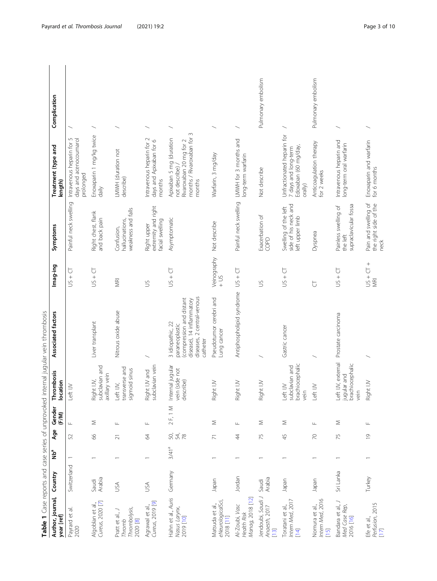<span id="page-2-0"></span>

| Author, journal,<br>year [ref]                         | Country         | ng<br>No          | Age            | Gender<br>(F/M)  | Thrombosis<br>location                                       | closed in the second through the second that is a second that is a second through the second of the second through the second through the second through the second through the second through the second through the second t<br>Associated factors | Imag-ing                  | Symptoms                                                        | Treatment (type and<br>length)                                                                                      | Complication       |
|--------------------------------------------------------|-----------------|-------------------|----------------|------------------|--------------------------------------------------------------|------------------------------------------------------------------------------------------------------------------------------------------------------------------------------------------------------------------------------------------------------|---------------------------|-----------------------------------------------------------------|---------------------------------------------------------------------------------------------------------------------|--------------------|
| Payrard et al.<br>2020                                 | Switzerland     |                   | 52             | $\sqcup$         | Left IV                                                      |                                                                                                                                                                                                                                                      | 运<br>$^{+}$<br>$\leq$     | Painful neck swelling                                           | 5<br>days and acenocoumarol<br>Intravenous heparin for<br>prolonged                                                 |                    |
| Cureus, 2020 [7]<br>Algoblan et al,                    | Arabia<br>Saudi |                   | 89             | Σ                | subclavian and<br>axillary vein<br>Right IV,                 | Liver transplant                                                                                                                                                                                                                                     | $US + CI$                 | Right chest, flank<br>and back pain                             | Enoxaparin 1 mg/kg twice<br>daily                                                                                   |                    |
| Thrombolysis,<br>Pratt et al., J<br>2020 [8]<br>Thromb | USA             |                   | $\overline{c}$ | Щ                | transverse and<br>sigmoid sinus<br>Left IV,                  | Nitrous oxide abuse                                                                                                                                                                                                                                  | <b>MRI</b>                | weakness and falls<br>hallucinations,<br>Confusion,             | LMWH (duration not<br>describe)                                                                                     |                    |
| Cureus, 2019 [9]<br>Agrawal et al.,                    | USA             |                   | $\mathcal{Z}$  | Щ                | Right IV and<br>subclavian vein                              |                                                                                                                                                                                                                                                      | $\leq$                    | extremity and right<br>facial swelling<br>Right upper           | Intravenous heparin for 2<br>days and Apixaban for 6<br>months                                                      |                    |
| Hahn et al., Auris<br>Nasus Larynx,<br>2019 [10]       | Germany         | 3/41 <sup>a</sup> | SO,<br>54,8    | 2 F, 1 M         | Internal jugular<br>vein (side not<br>describe)              | diseases, 2 central-venous<br>(compression and distant<br>disease), 14 inflammatory<br>3 idiopathic, 22<br>paraneoplastic<br>catheter                                                                                                                | $US + CI$                 | Asymptomatic                                                    | $\sim$<br>months / Rivaroxaban for<br>Apixaban 5 mg (duration<br>Rivaroxaban 20 mg for 2<br>not describe)<br>months |                    |
| eNeurologicalSci,<br>Matsuda et al.,<br>2018 [11]      | Japan           |                   | $\overline{z}$ | Σ                | Right IV                                                     | Pseudotumor cerebri and<br>Lung cancer                                                                                                                                                                                                               | Veinography<br>$-15$      | Not describe                                                    | Warfarin, 3 mg/day                                                                                                  |                    |
| Manag, 2018 [12]<br>Al-Zoubi, Vasc<br>Health Risk      | Jordan          |                   | $\ddot{4}$     | Щ                | Right IJV                                                    | Antiphospholipid syndrome                                                                                                                                                                                                                            | $US + CI$                 | Painful neck swelling                                           | LMWH for 3 months and<br>long-term warfarin                                                                         |                    |
| Jendoubi, Saudi J<br>Anaesth, 2017<br>$[13]$           | Arabia<br>Saudi |                   | 75             | Σ                | Right IV                                                     |                                                                                                                                                                                                                                                      | $\leq$                    | Exacerbation of<br>COPD                                         | Not describe                                                                                                        | Pulmonary embolism |
| Intern Med, 2017<br>Toratani et al.,<br>$[14]$         | neder           |                   | 45             | Σ                | brachiocephalic<br>subclavian and<br>Left IJV<br>vein        | Gastric cancer                                                                                                                                                                                                                                       | $US + CT$                 | side of his neck and<br>Swelling of the left<br>left upper limb | Unfractionated heparin for<br>Edoxaban (60 mg/day,<br>7 days and long-term<br>orally)                               |                    |
| Intern Med, 2016<br>Nomura et al.,<br>[15]             | Japan           |                   | $\overline{C}$ | $\sqcup\!\sqcup$ | Left IV                                                      |                                                                                                                                                                                                                                                      | $\overline{C}$            | Dyspnea                                                         | Anticoagulation therapy<br>for 2 weeks                                                                              | Pulmonary embolism |
| Bandara et al., J<br>Med Case Rep,<br>2016 [16]        | Sri Lanka       |                   | 75             | Σ                | Left IJV, external<br>jugular and<br>brachiocephalic<br>vein | Prostate carcinoma                                                                                                                                                                                                                                   | $US + CI$                 | supraclavicular fossa<br>Painless swelling of<br>the left       | Intravenous heparin and<br>long-term oral warfarin                                                                  |                    |
| Perfusion, 2015<br>[17]<br>Efe et al.,                 | Turkey          |                   | $\overline{0}$ | Щ                | Right IJV                                                    |                                                                                                                                                                                                                                                      | $+5$ + $-5$<br><b>NRI</b> | Pain and swelling of<br>the right side of the<br>neck           | Enoxaparin and warfarin<br>for 6 months                                                                             |                    |

Table 1 Case reports and case series of unprovoked internal jugular vein thrombosis Table 1 Case reports and case series of unprovoked internal jugular vein thrombosis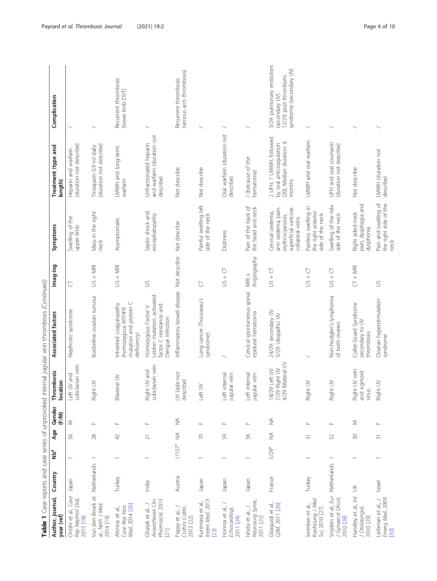|                                                                  |             |                          |                    |                              |                                                        | Table 1 Case reports and case series of unprovoked internal jugular vein thrombosis (Continued)  |                        |                                                                                                       |                                                                                          |                                                                                                  |
|------------------------------------------------------------------|-------------|--------------------------|--------------------|------------------------------|--------------------------------------------------------|--------------------------------------------------------------------------------------------------|------------------------|-------------------------------------------------------------------------------------------------------|------------------------------------------------------------------------------------------|--------------------------------------------------------------------------------------------------|
| Author, journal,<br>year [ref]                                   | Country     | าใ⊵<br>Z                 | Age                | Gender<br>(F/M)              | Thrombosis<br>location                                 | Associated factors                                                                               | Imag-ing               | Symptoms                                                                                              | Treatment (type and<br>length)                                                           | Complication                                                                                     |
| Onishi et al., Case<br>Rep Nephrol Dial,<br>2015 [18]            | Japan       |                          | 99                 | Σ                            | subclavian vein<br>Left IJV and                        | Nephrotic syndrome                                                                               | Ğ                      | Swelling of the<br>upper limb                                                                         | (duration not describe)<br>Heparin and warfarin                                          |                                                                                                  |
| Van den Broek et<br>al., Neth J Med,<br>2014 [19]                | Netherlands | $\overline{\phantom{0}}$ | $^{28}$            | $\sqcup\!\sqcup$             | ht IV<br>Rigi                                          | Borderline ovarian tumour                                                                        | $US + MR$              | Mass in the right<br><b>neck</b>                                                                      | (duration not describe)<br>Tinzaparin 0.9 ml daily                                       |                                                                                                  |
| Med, 2014 [20]<br>Case Rep Vasc<br>Altintas et al.,              | Turkey      |                          | 42                 | $\sqcup$                     | Bilateral IJV                                          | mutation and protein C<br>Inherited coagulopathy<br>(homozygous MTHFR<br>deficiency)             | $US + MR$              | Asymptomatic                                                                                          | LMWH and long-term<br>warfarin                                                           | Recurrent thrombosis<br>(lower limb DVT)                                                         |
| Anaesthesiol Clin<br>Pharmacol, 2013<br>Ghatak et al., J<br>[21] | India       |                          | $\overline{\sim}$  | Щ                            | Right IJV and<br>subclavian vein                       | Leiden mutation, activated<br>factor C resistance and<br>Homozygous Factor V<br>Dengue infection | $\leq$                 | Septic shock and<br>encephalopathy                                                                    | and warfarin (duration not<br>Unfractionated heparin<br>describe)                        |                                                                                                  |
| Papay et al., J<br>Crohns Colitis,<br>2013 [22]                  | Austria     | $1/157^{a}$              | $\lessgtr$         | $\stackrel{\triangle}{\geq}$ | (side not<br>describe)<br>$\geq$                       | Inflammatory bowel disease                                                                       | Not describe           | Not describe                                                                                          | Not describe                                                                             | (venous arm thrombosis)<br>Recurrent thrombosis                                                  |
| Intern Med, 2013<br>Kunimasa et al.,<br>231                      | Japan       |                          | $\approx$          | $\sqcup$                     | Left IV                                                | Lung cancer (Trousseau's<br>syndrome)                                                            | $\overline{\cup}$      | Painful swelling left<br>side of the neck                                                             | Not describe                                                                             |                                                                                                  |
| Honma et al., J<br>Echocardiogr,<br>2011 [24]                    | Japan       |                          | \$                 | $\sqcup$                     | jugular vein<br>Left internal                          |                                                                                                  | $US + CT$              | Dizziness                                                                                             | Oral warfarin (duration not<br>describe)                                                 |                                                                                                  |
| Neurosurg Spine,<br>Ishida et al.,<br>2011 [25]                  | Japan       |                          | S6                 | Щ                            | Left internal<br>jugular vein                          | Cervical spontaneous spinal<br>epidural hematoma                                                 | Angiography<br>$MRI +$ | Pain of the back of<br>the head and neck                                                              | / (because of the<br>hematoma)                                                           |                                                                                                  |
| Gbaguidi et al.,<br>QM, 2011 [26]                                | France      | 5/29 <sup>a</sup>        | $\widetilde{\geq}$ | $\lessgtr$                   | 4/29 Bilateral IJV<br>7/29 Right IJV<br>18/29 Left IJV | 24/29: secondary IJV<br>5/29: idiopathic IJV                                                     | $US + CI$              | arm oedema, pain,<br>superficial varicose<br>Cervical oedema,<br>erythrocyanosis,<br>collateral veins | 2 UFH, 7 LMWH, followed<br>(20), Median duration: 6<br>by oral anticoagulation<br>months | 3/29: pulmonary embolism<br>syndrome (secondary IJV)<br>12/29: post thrombotic<br>(secondary IV) |
| Kaohsiung J Med<br>Serinken et al.<br>Sci, 2010 [27]             | Turkey      |                          | $\overline{5}$     | $\sqcup$                     | ht IW<br>Rig                                           |                                                                                                  | $US + CT$              | Painless swelling in<br>the right anterior<br>side of the neck                                        | LMWH and oral warfarin                                                                   |                                                                                                  |
| Snijders et al., Eur<br>J Gynaecol Oncol,<br>2010 [28]           | Netherlands | $\overline{\phantom{0}}$ | 52                 | Щ                            | ht IW<br>Rig                                           | Non-hodgkin's lymphoma<br>of both ovaries                                                        | $US + CT$              | Swelling of the ride<br>side of the neck                                                              | UFH and oral coumarin<br>(duration not describe)                                         |                                                                                                  |
| Handley et al., Int<br>J Otolaryngol,<br>2010 [29]               | $\leq$      |                          | $\infty$           | Σ                            | Right IJV vein<br>and sigmoid<br>sinus                 | Collet-Sicard Syndrome<br>secondary to IJV<br>thrombosis                                         | $CT + MR$              | pain, dysphagia and<br>Right sided neck<br>dysphonia                                                  | Not describe                                                                             |                                                                                                  |
| Emerg Med, 2009<br>Leibman et al, J<br>30                        | Israel      |                          | $\overline{3}$     | Щ                            | ht IW<br>Rigi                                          | Ovarian hyperstimulation<br>syndrome                                                             | $\leq$                 | Pain and swelling of<br>the right side of the<br><b>neck</b>                                          | LMWH (duration not<br>describe)                                                          |                                                                                                  |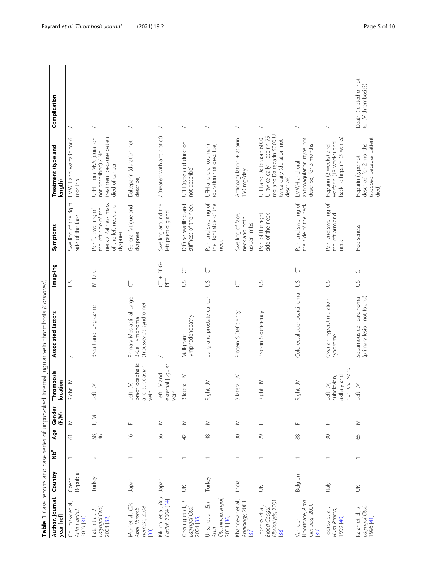|                                                                     |                   |                         |                         |                  |                                                          | Table 1 Case reports and case series of unprovoked internal jugular vein thrombosis (Continued) |                              |                                                                                                        |                                                                                                                               |                                             |
|---------------------------------------------------------------------|-------------------|-------------------------|-------------------------|------------------|----------------------------------------------------------|-------------------------------------------------------------------------------------------------|------------------------------|--------------------------------------------------------------------------------------------------------|-------------------------------------------------------------------------------------------------------------------------------|---------------------------------------------|
| Author, journal,<br>year [ref]                                      | Country           | <b>P</b> <sub>d</sub> N | Age                     | Gender<br>(F/M)  | Thrombosis<br>location                                   | Associated factors                                                                              | Imag-ing                     | Symptoms                                                                                               | Treatment (type and<br>length)                                                                                                | Complication                                |
| Chlumsky et al.,<br>Acta Cardiol<br>2009 [31]                       | Republic<br>Czech |                         | $\overline{\circ}$      | Σ                | Right IV                                                 |                                                                                                 | $\leq$                       | Swelling of the right<br>side of the face                                                              | LMWH and warfarin for 6<br>months                                                                                             |                                             |
| Laryngol Otol,<br>Pata et al., J<br>2008 [32]                       | Turkey            | $\sim$                  | 58,                     | $\mathbb{E}$ M   | $\geq$<br>tet.                                           | Breast and lung cancer                                                                          | MRI / CT                     | neck / Painless mass<br>of the left neck and<br>the left side of the<br>Painful swelling of<br>dyspnea | treatment because patient<br>UFH + oral VKA (duration<br>not described) / No<br>died of cancer                                |                                             |
| Mori et al., Clin<br>Hemost, 2008<br>Appl Thromb<br>$[33]$          | Japan             |                         | $\frac{\infty}{\infty}$ | Щ                | brachiocephalic<br>and subclavian<br>Left IV,<br>vein    | Primary Mediastinal Large<br>(Trousseau's syndrome)<br>B-Cell lymphoma                          | $\cup$                       | General fatigue and<br>dyspnea                                                                         | Dalteparin (duration not<br>describe)                                                                                         |                                             |
| Kikuchi et al., Br J<br>Radiol, 2004 [34]                           | Japan             |                         | 99                      | Σ                | external jugular<br>Left IJV and<br>vein                 |                                                                                                 | G<br>U<br>+<br>U<br>C<br>PET | Swelling around the<br>left parotid gland                                                              | / (treated with antibiotics)                                                                                                  |                                             |
| Cheang et al., J<br>Laryngol Otol,<br>2004 [35]                     | $\leq$            |                         | $\overline{4}$          | Σ                | Bilateral IJV                                            | lymphadenopathy<br>Malignant                                                                    | ₽<br>$US +$                  | Diffuse swelling and<br>stiffness of the neck                                                          | UFH (type and duration<br>not describe)                                                                                       |                                             |
| Otorhinolaryngol,<br>Unsal et al., Eur<br>2003 [36]<br><b>Arch</b>  | Turkey            |                         | $\frac{8}{3}$           | Σ                | ht IW<br>Rig                                             | Lung and prostate cancer                                                                        | $US + CT$                    | Pain and swelling of<br>the right side of the<br>neck                                                  | UFH and oral coumarin<br>(duration not describe)                                                                              |                                             |
| Khandekar et al.,<br>Angiology, 2003<br>[37]                        | India             |                         | $\approx$               | Σ                | Bilateral IJV                                            | Protein S Deficiency                                                                            | $\overline{C}$               | Swelling of face,<br>neck and both<br>upper limbs                                                      | Anticoagulation + aspirin<br>150 mg/day                                                                                       |                                             |
| Fibrinolysis, 2001<br>Thomas et al.,<br><b>Blood Coagul</b><br>[38] | $\leq$            |                         | 29                      | $\sqcup$         | ht IW<br>Rigi                                            | Protein S deficiency                                                                            | $\leq$                       | Pain of the right<br>side of the neck                                                                  | mg and Dalteparin 5000 UI<br>Ul twice daily + aspirin 75<br>UFH and Dalterapin 6000<br>twice daily (duration not<br>describe) |                                             |
| Noortgate, Acta<br>Clin Belg, 2000<br>Van den<br>[39]               | Belgium           |                         | 88                      | Щ                | ht IW<br>Rigi                                            | Colorectal adenocarcinoma                                                                       | $US + CT$                    | Pain and swelling of<br>the side of the neck                                                           | anticoagulation (type not<br>describe) for 3 months<br>LMWH and oral                                                          |                                             |
| Todros et al.,<br>Hum Reprod,<br>1999 [40]                          | Italy             |                         | $\Im$                   | $\sqcup\!\sqcup$ | humeral veins<br>axillary and<br>subclavian,<br>Left IW, | Ovarian hyperstimulation<br>syndrome                                                            | $\leq$                       | Pain and swelling of<br>the left arm and<br>neck                                                       | back to heparin (5 weeks)<br>warfarin (13 weeks) and<br>Heparin (2 weeks) and                                                 |                                             |
| Laryngol Otol,<br>1996 [41]<br>Kalan et al., J                      | $\leq$            |                         | 59                      | Σ                | Left IJV                                                 | (primary lesion not found)<br>Squamous cell carcinoma                                           | $US + CI$                    | Hoarseness                                                                                             | (stopped because patient<br>died)<br>describe) for 2 months<br>Heparin (type not                                              | Death (related or not<br>to IV thrombosis?) |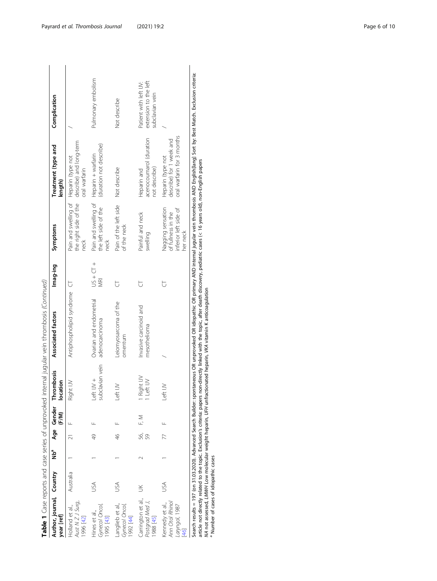| Author, journal, Country<br>year [ref]                       |           | م<br>Z |               | (F/M) | Age Gender Thrombosis<br>location | Associated factors                                                                                                                                                                                                | Imag-ing          | Symptoms                                                                     | Treatment (type and<br>length)                                              | Complication                                                      |
|--------------------------------------------------------------|-----------|--------|---------------|-------|-----------------------------------|-------------------------------------------------------------------------------------------------------------------------------------------------------------------------------------------------------------------|-------------------|------------------------------------------------------------------------------|-----------------------------------------------------------------------------|-------------------------------------------------------------------|
| Aust N Z J Surg,<br>Holland et al.,<br>1996 [42]             | Australia |        |               |       | Right IV                          | Antiphospholipid syndrome CT                                                                                                                                                                                      |                   | Pain and swelling of Heparin (type not<br>neck                               | the right side of the describe) and long-term<br>oral warfarin              |                                                                   |
| Gynecol Oncol,<br>Hines et al.,<br>1995 [43]                 | SA        |        | 49            |       | subclavian vein<br>Left IV +      | Ovarian and endometrial<br>adenocarcinoma                                                                                                                                                                         | $-15 + 51$<br>WRI | Pain and swelling of Heparin + warfarin<br>the left side of the<br>neck      | (duration not describe)                                                     | Pulmonary embolism                                                |
| Langlieb et al.,<br>Gynecol Oncol,<br>1992 [44]              | SÁ        |        | $\frac{4}{6}$ |       | Left IJV                          | Leiomyosarcoma of the<br>omentum                                                                                                                                                                                  | 运                 | Pain of the left side<br>of the neck                                         | Not describe                                                                | Not describe                                                      |
| Carrington et al.,<br>Postgrad Med J,<br>1988 [45]           | $\leq$    |        | 56,<br>59     | F, M  | l Right IJV<br>I Left IJV         | Invasive carcinoid and<br>mesothelioma                                                                                                                                                                            | 运                 | Painful and neck<br>swelling                                                 | acenocoumarol (duration<br>not describe)<br>Heparin and                     | extension to the left<br>Patient with left IV:<br>subclavian vein |
| Ann Otol Rhinol<br>Kennedy et al.,<br>Laryngol, 1987<br>[46] | USA       |        | 77            |       | Left IJV                          |                                                                                                                                                                                                                   | ੮                 | Nagging sensation<br>inferior left side of<br>of fullness in the<br>her neck | oral warfarin for 3 months<br>describe) for 1 week and<br>Heparin (type not |                                                                   |
|                                                              |           |        |               |       |                                   | Search results = 197 (on 31.03.2020). Advanced Search Builder: spontaneous OR unprovoked OR idiopathic OR primary AND internal iugular vein thrombosis AND Englishflangi Sort by: Best March. Exclusion criteria: |                   |                                                                              |                                                                             |                                                                   |

and case series of unprovoked internal jugular vein thrombosis (Continued) Table 1 Case reports and case series of unprovoked internal jugular vein thrombosis (Continued) Table 1 Case reports

Search results = 197 (on 31.03.2020). Advanced Search Builder: spontaneous OR unprovoked OR idiopathic OR primary AND internal jugular vein thrombosis AND English[lang] Sort by: Best Match. Exclusion criteria: ÷. Search results = 197 (on 31.03.2020). Advanced Search Builder: spontaneous OR unprovoked OR idiopathic OR primary AND internal jugular vein thrombosis AND English[lang] :<br>article not directly related to the topic. Exclusio article not directly related to the topic. Exclusion's criteria: papers non-directly linked with the topic, after death discovery, pediatric cases (< 16 years old), non-English papers NA not assessed, LMWH Low molecular weight heparin, UFH unfractionated heparin, VKA vitamin K anticoagulation

Number of cases of idiopathic cases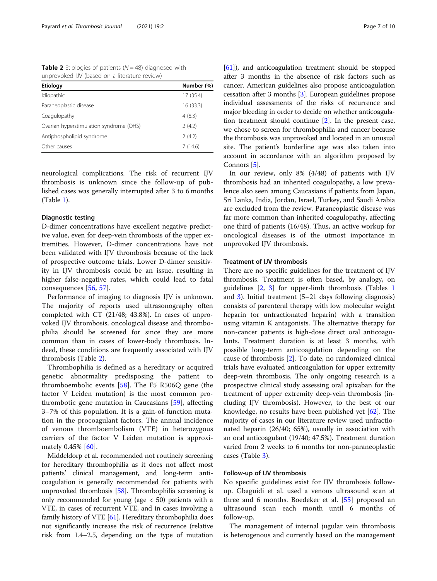<span id="page-6-0"></span>**Table 2** Etiologies of patients ( $N = 48$ ) diagnosed with unprovoked IJV (based on a literature review)

| <b>Etiology</b>                         | Number (%) |
|-----------------------------------------|------------|
| Idiopathic                              | 17 (35.4)  |
| Paraneoplastic disease                  | 16 (33.3)  |
| Coagulopathy                            | 4(8.3)     |
| Ovarian hyperstimulation syndrome (OHS) | 2(4.2)     |
| Antiphospholipid syndrome               | 2(4.2)     |
| Other causes                            | 7(14.6)    |

neurological complications. The risk of recurrent IJV thrombosis is unknown since the follow-up of published cases was generally interrupted after 3 to 6 months (Table [1\)](#page-2-0).

#### Diagnostic testing

D-dimer concentrations have excellent negative predictive value, even for deep-vein thrombosis of the upper extremities. However, D-dimer concentrations have not been validated with IJV thrombosis because of the lack of prospective outcome trials. Lower D-dimer sensitivity in IJV thrombosis could be an issue, resulting in higher false-negative rates, which could lead to fatal consequences [[56,](#page-8-0) [57](#page-8-0)].

Performance of imaging to diagnosis IJV is unknown. The majority of reports used ultrasonography often completed with CT (21/48; 43.8%). In cases of unprovoked IJV thrombosis, oncological disease and thrombophilia should be screened for since they are more common than in cases of lower-body thrombosis. Indeed, these conditions are frequently associated with IJV thrombosis (Table 2).

Thrombophilia is defined as a hereditary or acquired genetic abnormality predisposing the patient to thromboembolic events [[58\]](#page-8-0). The F5 R506Q gene (the factor V Leiden mutation) is the most common prothrombotic gene mutation in Caucasians [[59\]](#page-8-0), affecting 3–7% of this population. It is a gain-of-function mutation in the procoagulant factors. The annual incidence of venous thromboembolism (VTE) in heterozygous carriers of the factor V Leiden mutation is approxi-mately 0.45% [[60\]](#page-9-0).

Middeldorp et al. recommended not routinely screening for hereditary thrombophilia as it does not affect most patients' clinical management, and long-term anticoagulation is generally recommended for patients with unprovoked thrombosis [\[58\]](#page-8-0). Thrombophilia screening is only recommended for young (age < 50) patients with a VTE, in cases of recurrent VTE, and in cases involving a family history of VTE [\[61\]](#page-9-0). Hereditary thrombophilia does not significantly increase the risk of recurrence (relative risk from 1.4–2.5, depending on the type of mutation [[61](#page-9-0)]), and anticoagulation treatment should be stopped after 3 months in the absence of risk factors such as cancer. American guidelines also propose anticoagulation cessation after 3 months [\[3](#page-7-0)]. European guidelines propose individual assessments of the risks of recurrence and major bleeding in order to decide on whether anticoagulation treatment should continue [\[2\]](#page-7-0). In the present case, we chose to screen for thrombophilia and cancer because the thrombosis was unprovoked and located in an unusual site. The patient's borderline age was also taken into account in accordance with an algorithm proposed by Connors [\[5\]](#page-7-0).

In our review, only 8% (4/48) of patients with IJV thrombosis had an inherited coagulopathy, a low prevalence also seen among Caucasians if patients from Japan, Sri Lanka, India, Jordan, Israel, Turkey, and Saudi Arabia are excluded from the review. Paraneoplastic disease was far more common than inherited coagulopathy, affecting one third of patients (16/48). Thus, an active workup for oncological diseases is of the utmost importance in unprovoked IJV thrombosis.

#### Treatment of IJV thrombosis

There are no specific guidelines for the treatment of IJV thrombosis. Treatment is often based, by analogy, on guidelines [[2,](#page-7-0) [3](#page-7-0)] for upper-limb thrombosis (Tables [1](#page-2-0) and [3](#page-7-0)). Initial treatment (5–21 days following diagnosis) consists of parenteral therapy with low molecular weight heparin (or unfractionated heparin) with a transition using vitamin K antagonists. The alternative therapy for non-cancer patients is high-dose direct oral anticoagulants. Treatment duration is at least 3 months, with possible long-term anticoagulation depending on the cause of thrombosis [[2](#page-7-0)]. To date, no randomized clinical trials have evaluated anticoagulation for upper extremity deep-vein thrombosis. The only ongoing research is a prospective clinical study assessing oral apixaban for the treatment of upper extremity deep-vein thrombosis (including IJV thrombosis). However, to the best of our knowledge, no results have been published yet [[62\]](#page-9-0). The majority of cases in our literature review used unfractionated heparin (26/40; 65%), usually in association with an oral anticoagulant (19/40; 47.5%). Treatment duration varied from 2 weeks to 6 months for non-paraneoplastic cases (Table [3](#page-7-0)).

### Follow-up of IJV thrombosis

No specific guidelines exist for IJV thrombosis followup. Gbaguidi et al. used a venous ultrasound scan at three and 6 months. Boedeker et al. [[55\]](#page-8-0) proposed an ultrasound scan each month until 6 months of follow-up.

The management of internal jugular vein thrombosis is heterogenous and currently based on the management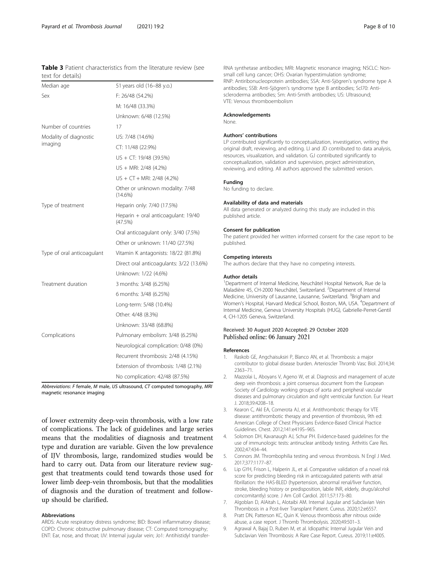<span id="page-7-0"></span>

|                   | <b>Table 3</b> Patient characteristics from the literature review (see |  |  |  |
|-------------------|------------------------------------------------------------------------|--|--|--|
| text for details) |                                                                        |  |  |  |

| Median age                 | 51 years old (16-88 y.o.)                      |
|----------------------------|------------------------------------------------|
| Sex                        | F: 26/48 (54.2%)                               |
|                            | M: 16/48 (33.3%)                               |
|                            | Unknown: 6/48 (12.5%)                          |
| Number of countries        | 17                                             |
| Modality of diagnostic     | US: 7/48 (14.6%)                               |
| imaging                    | CT: 11/48 (22.9%)                              |
|                            | US + CT: 19/48 (39.5%)                         |
|                            | US + MRI: 2/48 (4.2%)                          |
|                            | $US + CT + MRI: 2/48 (4.2%)$                   |
|                            | Other or unknown modality: 7/48<br>$(14.6\%)$  |
| Type of treatment          | Heparin only: 7/40 (17.5%)                     |
|                            | Heparin + oral anticoagulant: 19/40<br>(47.5%) |
|                            | Oral anticoagulant only: 3/40 (7.5%)           |
|                            | Other or unknown: 11/40 (27.5%)                |
| Type of oral anticoagulant | Vitamin K antagonists: 18/22 (81.8%)           |
|                            | Direct oral anticoagulants: 3/22 (13.6%)       |
|                            | Unknown: 1/22 (4.6%)                           |
| Treatment duration         | 3 months: 3/48 (6.25%)                         |
|                            | 6 months: 3/48 (6.25%)                         |
|                            | Long-term: 5/48 (10.4%)                        |
|                            | Other: 4/48 (8.3%)                             |
|                            | Unknown: 33/48 (68.8%)                         |
| Complications              | Pulmonary embolism: 3/48 (6.25%)               |
|                            | Neurological complication: 0/48 (0%)           |
|                            | Recurrent thrombosis: 2/48 (4.15%)             |
|                            | Extension of thrombosis: 1/48 (2.1%)           |
|                            | No complication: 42/48 (87.5%)                 |

Abbreviations: F female, M male, US ultrasound, CT computed tomography, MRI magnetic resonance imaging

of lower extremity deep-vein thrombosis, with a low rate of complications. The lack of guidelines and large series means that the modalities of diagnosis and treatment type and duration are variable. Given the low prevalence of IJV thrombosis, large, randomized studies would be hard to carry out. Data from our literature review suggest that treatments could tend towards those used for lower limb deep-vein thrombosis, but that the modalities of diagnosis and the duration of treatment and followup should be clarified.

#### Abbreviations

ARDS: Acute respiratory distress syndrome; BID: Bowel inflammatory disease; COPD: Chronic obstructive pulmonary disease; CT: Computed tomography; ENT: Ear, nose, and throat; IJV: Internal jugular vein; Jo1: Antihistidyl transferRNA synthetase antibodies; MRI: Magnetic resonance imaging; NSCLC: Nonsmall cell lung cancer; OHS: Ovarian hyperstimulation syndrome; RNP: Antiribonucleoprotein antibodies; SSA: Anti-Sjögren's syndrome type A antibodies; SSB: Anti-Sjögren's syndrome type B antibodies; Scl70: Antiscleroderma antibodies; Sm: Anti-Smith antibodies; US: Ultrasound; VTE: Venous thromboembolism

#### Acknowledgements

None.

#### Authors' contributions

LP contributed significantly to conceptualization, investigation, writing the original draft, reviewing, and editing. LI and JD contributed to data analysis, resources, visualization, and validation. GJ contributed significantly to conceptualization, validation and supervision, project administration, reviewing, and editing. All authors approved the submitted version.

#### Funding

No funding to declare.

#### Availability of data and materials

All data generated or analyzed during this study are included in this published article.

#### Consent for publication

The patient provided her written informed consent for the case report to be published.

#### Competing interests

The authors declare that they have no competing interests.

#### Author details

<sup>1</sup>Department of Internal Medicine, Neuchâtel Hospital Network, Rue de la Maladière 45, CH-2000 Neuchâtel, Switzerland. <sup>2</sup>Department of Internal Medicine, University of Lausanne, Lausanne, Switzerland. <sup>3</sup>Brigham and Women's Hospital, Harvard Medical School, Boston, MA, USA. <sup>4</sup>Department of Internal Medicine, Geneva University Hospitals (HUG), Gabrielle-Perret-Gentil 4, CH-1205 Geneva, Switzerland.

#### Received: 30 August 2020 Accepted: 29 October 2020 Published online: 06 January 2021

#### References

- 1. Raskob GE, Angchaisuksiri P, Blanco AN, et al. Thrombosis: a major contributor to global disease burden. Arterioscler Thromb Vasc Biol. 2014;34: 2363–71.
- 2. Mazzolai L, Aboyans V, Ageno W, et al. Diagnosis and management of acute deep vein thrombosis: a joint consensus document from the European Society of Cardiology working groups of aorta and peripheral vascular diseases and pulmonary circulation and right ventricular function. Eur Heart J. 2018;39:4208–18.
- 3. Kearon C, Akl EA, Comerota AJ, et al. Antithrombotic therapy for VTE disease: antithrombotic therapy and prevention of thrombosis, 9th ed: American College of Chest Physicians Evidence-Based Clinical Practice Guidelines. Chest. 2012;141:e419S–96S.
- 4. Solomon DH, Kavanaugh AJ, Schur PH. Evidence-based guidelines for the use of immunologic tests: antinuclear antibody testing. Arthritis Care Res. 2002;47:434–44.
- 5. Connors JM. Thrombophilia testing and venous thrombosis. N Engl J Med. 2017;377:1177–87.
- 6. Lip GYH, Frison L, Halperin JL, et al. Comparative validation of a novel risk score for predicting bleeding risk in anticoagulated patients with atrial fibrillation: the HAS-BLED (hypertension, abnormal renal/liver function, stroke, bleeding history or predisposition, labile INR, elderly, drugs/alcohol concomitantly) score. J Am Coll Cardiol. 2011;57:173–80.
- 7. Algoblan D, AlAitah L, Alotaibi AM. Internal Jugular and Subclavian Vein Thrombosis in a Post-liver Transplant Patient. Cureus. 2020;12:e6557.
- 8. Pratt DN, Patterson KC, Quin K. Venous thrombosis after nitrous oxide abuse, a case report. J Thromb Thrombolysis. 2020;49:501–3.
- 9. Agrawal A, Bajaj D, Ruben M, et al. Idiopathic Internal Jugular Vein and Subclavian Vein Thrombosis: A Rare Case Report. Cureus. 2019;11:e4005.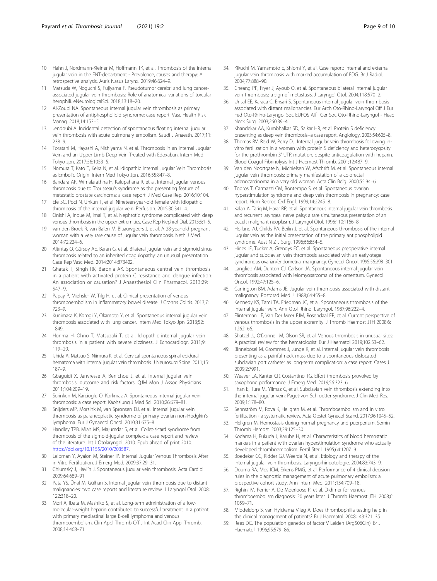- <span id="page-8-0"></span>10. Hahn J, Nordmann-Kleiner M, Hoffmann TK, et al. Thrombosis of the internal jugular vein in the ENT-department - Prevalence, causes and therapy: A retrospective analysis. Auris Nasus Larynx. 2019;46:624–9.
- 11. Matsuda W, Noguchi S, Fujiyama F. Pseudotumor cerebri and lung cancerassociated jugular vein thrombosis: Role of anatomical variations of torcular herophili. eNeurologicalSci. 2018;13:18–20.
- 12. Al-Zoubi NA. Spontaneous internal jugular vein thrombosis as primary presentation of antiphospholipid syndrome: case report. Vasc Health Risk Manag. 2018;14:153–5.
- 13. Jendoubi A. Incidental detection of spontaneous floating internal jugular vein thrombosis with acute pulmonary embolism. Saudi J Anaesth. 2017;11: 238–9.
- 14. Toratani M, Hayashi A, Nishiyama N, et al. Thrombosis in an Internal Jugular Vein and an Upper Limb Deep Vein Treated with Edoxaban. Intern Med Tokyo Jpn. 2017;56:1053–5.
- 15. Nomura T, Kato T, Keira N, et al. Idiopathic Internal Jugular Vein Thrombosis as Embolic Origin. Intern Med Tokyo Jpn. 2016;55:847–8.
- 16. Bandara AR, Wimalarathna H, Kalupahana R, et al. Internal jugular venous thrombosis due to Trousseau's syndrome as the presenting feature of metastatic prostate carcinoma: a case report. J Med Case Rep. 2016;10:104.
- 17. Efe SC, Poci N, Unkun T, et al. Nineteen-year-old female with idiopathic thrombosis of the internal jugular vein. Perfusion. 2015;30:341–4.
- 18. Onishi A, Inoue M, Imai T, et al. Nephrotic syndrome complicated with deep venous thrombosis in the upper extremities. Case Rep Nephrol Dial. 2015;5:1–5.
- 19. van den Broek R, van Balen M, Blaauwgeers J, et al. A 28-year-old pregnant woman with a very rare cause of jugular vein thrombosis. Neth J Med. 2014;72:224–6.
- 20. Altıntaş O, Gürsoy AE, Baran G, et al. Bilateral jugular vein and sigmoid sinus thrombosis related to an inherited coagulopathy: an unusual presentation. Case Rep Vasc Med. 2014;2014:873402.
- 21. Ghatak T, Singh RK, Baronia AK. Spontaneous central vein thrombosis in a patient with activated protein C resistance and dengue infection: An association or causation? J Anaesthesiol Clin Pharmacol. 2013;29: 547–9.
- 22. Papay P, Miehsler W, Tilg H, et al. Clinical presentation of venous thromboembolism in inflammatory bowel disease. J Crohns Colitis. 2013;7: 723–9.
- 23. Kunimasa K, Korogi Y, Okamoto Y, et al. Spontaneous internal jugular vein thrombosis associated with lung cancer. Intern Med Tokyo Jpn. 2013;52: 1849.
- 24. Honma H, Ohno T, Matsuzaki T, et al. Idiopathic internal jugular vein thrombosis in a patient with severe dizziness. J Echocardiogr. 2011;9: 119–20.
- 25. Ishida A, Matsuo S, Niimura K, et al. Cervical spontaneous spinal epidural hematoma with internal jugular vein thrombosis. J Neurosurg Spine. 2011;15: 187–9.
- 26. Gbaguidi X, Janvresse A, Benichou J, et al. Internal jugular vein thrombosis: outcome and risk factors. QJM Mon J Assoc Physicians. 2011;104:209–19.
- 27. Serinken M, Karcioglu O, Korkmaz A. Spontaneous internal jugular vein thrombosis: a case report. Kaohsiung J Med Sci. 2010;26:679–81.
- 28. Snijders MP, Morsink M, van Spronsen DJ, et al. Internal jugular vein thrombosis as paraneoplastic syndrome of primary ovarian non-Hodgkin's lymphoma. Eur J Gynaecol Oncol. 2010;31:675–8.
- 29. Handley TPB, Miah MS, Majumdar S, et al. Collet-sicard syndrome from thrombosis of the sigmoid-jugular complex: a case report and review of the literature. Int J Otolaryngol. 2010. Epub ahead of print 2010. <https://doi.org/10.1155/2010/203587>.
- 30. Leibman Y, Ayalon M, Steiner IP. Internal Jugular Venous Thrombosis After in Vitro Fertilization. J Emerg Med. 2009;37:29–31.
- 31. Chlumský J, Havlín J. Spontaneous jugular vein thrombosis. Acta Cardiol. 2009;64:689–91.
- 32. Pata YS, Ünal M, Gülhan S. Internal jugular vein thrombosis due to distant malignancies: two case reports and literature review. J Laryngol Otol. 2008; 122:318–20.
- 33. Mori A, Ibata M, Mashiko S, et al. Long-term administration of a lowmolecular-weight heparin contributed to successful treatment in a patient with primary mediastinal large B-cell lymphoma and venous thromboembolism. Clin Appl Thromb Off J Int Acad Clin Appl Thromb. 2008;14:468–71.
- 34. Kikuchi M, Yamamoto E, Shiomi Y, et al. Case report: internal and external jugular vein thrombosis with marked accumulation of FDG. Br J Radiol. 2004;77:888–90.
- 35. Cheang PP, Fryer J, Ayoub O, et al. Spontaneous bilateral internal jugular vein thrombosis: a sign of metastasis. J Laryngol Otol. 2004;118:570–2.
- 36. Unsal EE, Karaca C, Ensarí S. Spontaneous internal jugular vein thrombosis associated with distant malignancies. Eur Arch Oto-Rhino-Laryngol Off J Eur Fed Oto-Rhino-Laryngol Soc EUFOS Affil Ger Soc Oto-Rhino-Laryngol - Head Neck Surg. 2003;260:39–41.
- 37. Khandekar AA, Kumbhalkar SD, Salkar HR, et al. Protein S deficiency presenting as deep vein thrombosis--a case report. Angiology. 2003;54:605-8.
- 38. Thomas RV, Reid W, Perry DJ. Internal jugular vein thrombosis following invitro fertilization in a woman with protein S deficiency and heterozygosity for the prothrombin 3' UTR mutation, despite anticoagulation with heparin. Blood Coagul Fibrinolysis Int J Haemost Thromb. 2001;12:487–9.
- 39. Van den Noortgate N, Michielsen W, Afschrift M, et al. Spontaneous internal jugular vein thrombosis: primary manifestation of a colorectal adenocarcinoma in a very old woman. Acta Clin Belg. 2000;55:94–6.
- 40. Todros T, Carmazzi CM, Bontempo S, et al. Spontaneous ovarian hyperstimulation syndrome and deep vein thrombosis in pregnancy: case report. Hum Reprod Oxf Engl. 1999;14:2245–8.
- 41. Kalan A, Tariq M, Harar RP, et al. Spontaneous internal jugular vein thrombosis and recurrent laryngeal nerve palsy: a rare simultaneous presentation of an occult malignant neoplasm. J Laryngol Otol. 1996;110:1166–8.
- 42. Holland AJ, Childs PA, Beilin J, et al. Spontaneous thrombosis of the internal jugular vein as the initial presentation of the primary antiphospholipid syndrome. Aust N Z J Surg. 1996;66:854–5.
- 43. Hines JF, Tucker A, Grendys EC, et al. Spontaneous preoperative internal jugular and subclavian vein thrombosis associated with an early-stage synchronous ovarian/endometrial malignancy. Gynecol Oncol. 1995;56:298–301.
- 44. Langlieb AM, Dunton CJ, Carlson JA. Spontaneous internal jugular vein thrombosis associated with leiomyosarcoma of the omentum. Gynecol Oncol. 1992;47:125–6.
- 45. Carrington BM, Adams JE. Jugular vein thrombosis associated with distant malignancy. Postgrad Med J. 1988;64:455–8.
- 46. Kennedy KS, Tami TA, Friedman JC, et al. Spontaneous thrombosis of the internal jugular vein. Ann Otol Rhinol Laryngol. 1987;96:222–4.
- 47. Flinterman LE, Van Der Meer FJM, Rosendaal FR, et al. Current perspective of venous thrombosis in the upper extremity. J Thromb Haemost JTH 2008;6: 1262–66.
- 48. Shatzel JJ, O'Donnell M, Olson SR, et al. Venous thrombosis in unusual sites: A practical review for the hematologist. Eur J Haematol 2019;102:53–62.
- 49. Binnebösel M, Grommes J, Junge K, et al. Internal jugular vein thrombosis presenting as a painful neck mass due to a spontaneous dislocated subclavian port catheter as long-term complication: a case report. Cases J. 2009;2:7991.
- 50. Weaver LA, Kanter CR, Costantino TG. Effort thrombosis provoked by saxophone performance. J Emerg Med. 2019;56:323–6.
- 51. Ilhan E, Ture M, Yilmaz C, et al. Subclavian vein thrombosis extending into the internal jugular vein: Paget-von Schroetter syndrome. J Clin Med Res. 2009;1:178–80.
- 52. Sennström M, Rova K, Hellgren M, et al. Thromboembolism and in vitro fertilization - a systematic review. Acta Obstet Gynecol Scand. 2017;96:1045–52.
- 53. Hellgren M. Hemostasis during normal pregnancy and puerperium. Semin Thromb Hemost. 2003;29:125–30.
- 54. Kodama H, Fukuda J, Karube H, et al. Characteristics of blood hemostatic markers in a patient with ovarian hyperstimulation syndrome who actually developed thromboembolism. Fertil Steril. 1995;64:1207–9.
- 55. Boedeker CC, Ridder GJ, Weerda N, et al. Etiology and therapy of the internal jugular vein thrombosis. Laryngorhinootologie. 2004;83:743–9.
- 56. Douma RA, Mos ICM, Erkens PMG, et al. Performance of 4 clinical decision rules in the diagnostic management of acute pulmonary embolism: a prospective cohort study. Ann Intern Med. 2011;154:709–18.
- 57. Righini M, Perrier A, De Moerloose P, et al. D-dimer for venous thromboembolism diagnosis: 20 years later. J Thromb Haemost JTH. 2008;6: 1059–71.
- 58. Middeldorp S, van Hylckama Vlieg A. Does thrombophilia testing help in the clinical management of patients? Br J Haematol. 2008;143:321–35.
- 59. Rees DC. The population genetics of factor V Leiden (Arg506Gln). Br J Haematol. 1996;95:579–86.